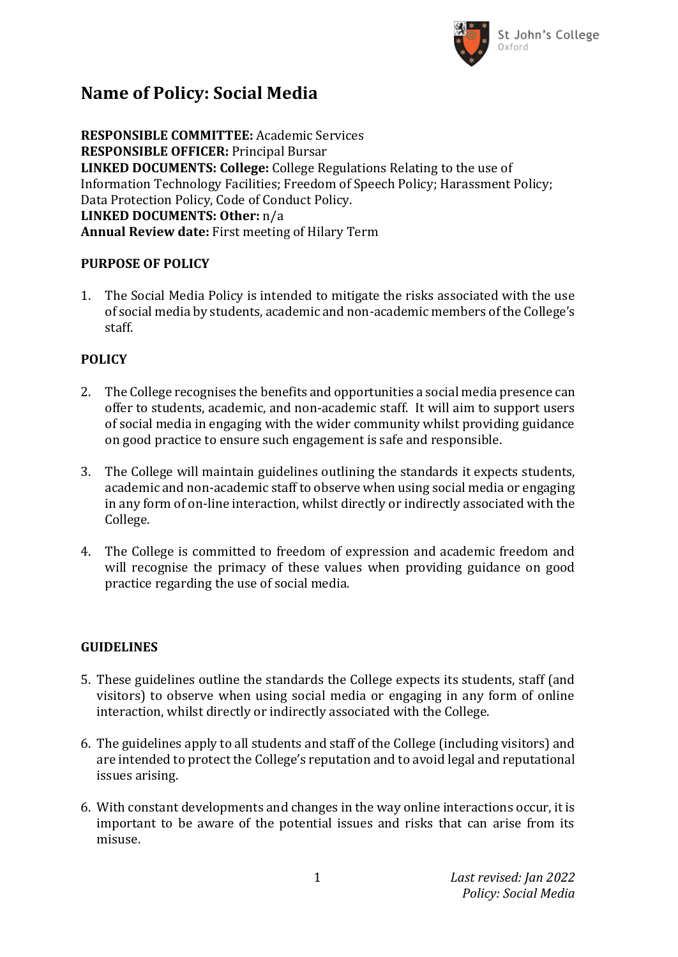

## **Name of Policy: Social Media**

**RESPONSIBLE COMMITTEE:** Academic Services **RESPONSIBLE OFFICER:** Principal Bursar **LINKED DOCUMENTS: College:** College Regulations Relating to the use of Information Technology Facilities; Freedom of Speech Policy; Harassment Policy; Data Protection Policy, Code of Conduct Policy. **LINKED DOCUMENTS: Other:** n/a **Annual Review date:** First meeting of Hilary Term

#### **PURPOSE OF POLICY**

1. The Social Media Policy is intended to mitigate the risks associated with the use of social media by students, academic and non-academic members of the College's staff.

### **POLICY**

- 2. The College recognises the benefits and opportunities a social media presence can offer to students, academic, and non-academic staff. It will aim to support users of social media in engaging with the wider community whilst providing guidance on good practice to ensure such engagement is safe and responsible.
- 3. The College will maintain guidelines outlining the standards it expects students, academic and non-academic staff to observe when using social media or engaging in any form of on-line interaction, whilst directly or indirectly associated with the College.
- 4. The College is committed to freedom of expression and academic freedom and will recognise the primacy of these values when providing guidance on good practice regarding the use of social media.

### **GUIDELINES**

- 5. These guidelines outline the standards the College expects its students, staff (and visitors) to observe when using social media or engaging in any form of online interaction, whilst directly or indirectly associated with the College.
- 6. The guidelines apply to all students and staff of the College (including visitors) and are intended to protect the College's reputation and to avoid legal and reputational issues arising.
- 6. With constant developments and changes in the way online interactions occur, it is important to be aware of the potential issues and risks that can arise from its misuse.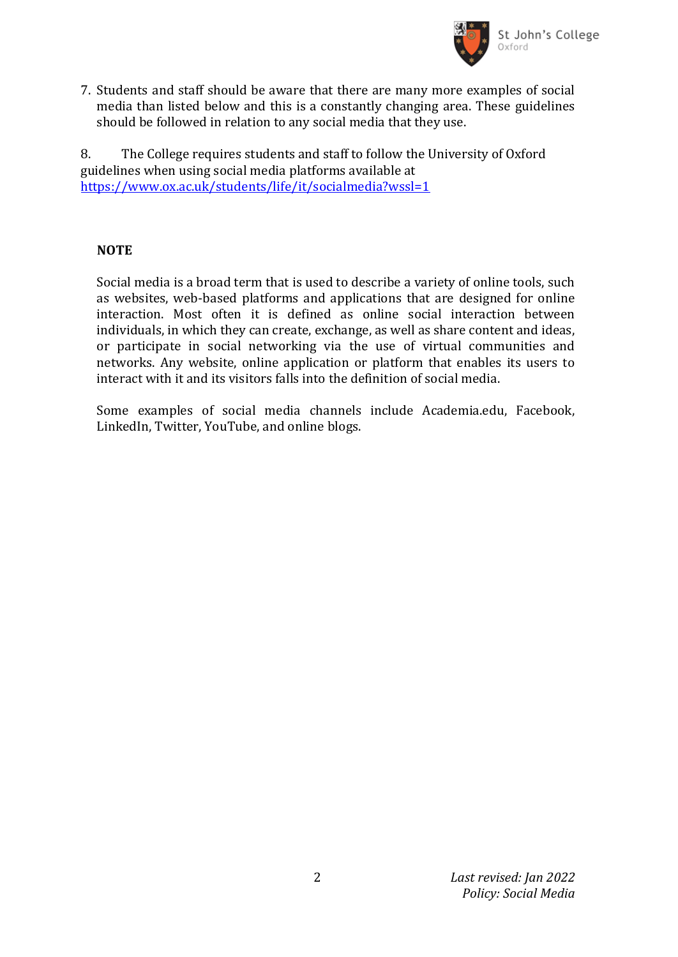

7. Students and staff should be aware that there are many more examples of social media than listed below and this is a constantly changing area. These guidelines should be followed in relation to any social media that they use.

8. The College requires students and staff to follow the University of Oxford guidelines when using social media platforms available at <https://www.ox.ac.uk/students/life/it/socialmedia?wssl=1>

### **NOTE**

Social media is a broad term that is used to describe a variety of online tools, such as websites, web-based platforms and applications that are designed for online interaction. Most often it is defined as online social interaction between individuals, in which they can create, exchange, as well as share content and ideas, or participate in social networking via the use of virtual communities and networks. Any website, online application or platform that enables its users to interact with it and its visitors falls into the definition of social media.

Some examples of social media channels include Academia.edu, Facebook, LinkedIn, Twitter, YouTube, and online blogs.